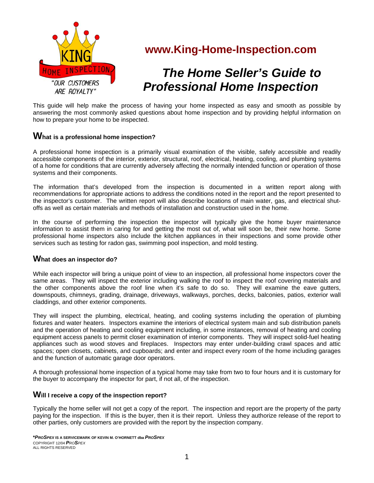

# **www.King-Home-Inspection.com**

# *The Home Seller's Guide to Professional Home Inspection*

This guide will help make the process of having your home inspected as easy and smooth as possible by answering the most commonly asked questions about home inspection and by providing helpful information on how to prepare your home to be inspected.

# **What is a professional home inspection?**

A professional home inspection is a primarily visual examination of the visible, safely accessible and readily accessible components of the interior, exterior, structural, roof, electrical, heating, cooling, and plumbing systems of a home for conditions that are currently adversely affecting the normally intended function or operation of those systems and their components.

The information that's developed from the inspection is documented in a written report along with recommendations for appropriate actions to address the conditions noted in the report and the report presented to the inspector's customer. The written report will also describe locations of main water, gas, and electrical shutoffs as well as certain materials and methods of installation and construction used in the home.

In the course of performing the inspection the inspector will typically give the home buyer maintenance information to assist them in caring for and getting the most out of, what will soon be, their new home. Some professional home inspectors also include the kitchen appliances in their inspections and some provide other services such as testing for radon gas, swimming pool inspection, and mold testing.

#### **What does an inspector do?**

While each inspector will bring a unique point of view to an inspection, all professional home inspectors cover the same areas. They will inspect the exterior including walking the roof to inspect the roof covering materials and the other components above the roof line when it's safe to do so. They will examine the eave gutters, downspouts, chimneys, grading, drainage, driveways, walkways, porches, decks, balconies, patios, exterior wall claddings, and other exterior components.

They will inspect the plumbing, electrical, heating, and cooling systems including the operation of plumbing fixtures and water heaters. Inspectors examine the interiors of electrical system main and sub distribution panels and the operation of heating and cooling equipment including, in some instances, removal of heating and cooling equipment access panels to permit closer examination of interior components. They will inspect solid-fuel heating appliances such as wood stoves and fireplaces. Inspectors may enter under-building crawl spaces and attic spaces; open closets, cabinets, and cupboards; and enter and inspect every room of the home including garages and the function of automatic garage door operators.

A thorough professional home inspection of a typical home may take from two to four hours and it is customary for the buyer to accompany the inspector for part, if not all, of the inspection.

#### **Will I receive a copy of the inspection report?**

Typically the home seller will not get a copy of the report. The inspection and report are the property of the party paying for the inspection. If this is the buyer, then it is their report. Unless they authorize release of the report to other parties, only customers are provided with the report by the inspection company.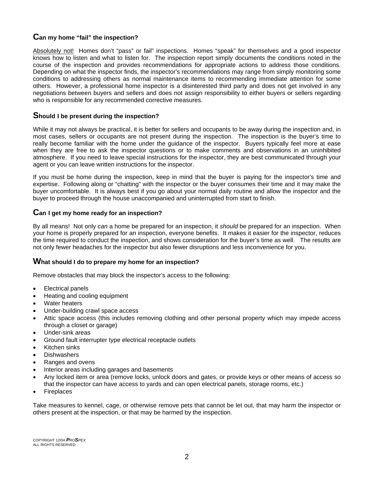# **Can my home "fail" the inspection?**

Absolutely not! Homes don't "pass" or fail" inspections. Homes "speak" for themselves and a good inspector knows how to listen and what to listen for. The inspection report simply documents the conditions noted in the course of the inspection and provides recommendations for appropriate actions to address those conditions. Depending on what the inspector finds, the inspector's recommendations may range from simply monitoring some conditions to addressing others as normal maintenance items to recommending immediate attention for some others. However, a professional home inspector is a disinterested third party and does not get involved in any negotiations between buyers and sellers and does not assign responsibility to either buyers or sellers regarding who is responsible for any recommended corrective measures.

#### **Should I be present during the inspection?**

While it may not always be practical, it is better for sellers and occupants to be away during the inspection and, in most cases, sellers or occupants are not present during the inspection. The inspection is the buyer's time to really become familiar with the home under the guidance of the inspector. Buyers typically feel more at ease when they are free to ask the inspector questions or to make comments and observations in an uninhibited atmosphere. If you need to leave special instructions for the inspector, they are best communicated through your agent or you can leave written instructions for the inspector.

If you must be home during the inspection, keep in mind that the buyer is paying for the inspector's time and expertise. Following along or "chatting" with the inspector or the buyer consumes their time and it may make the buyer uncomfortable. It is always best if you go about your normal daily routine and allow the inspector and the buyer to proceed through the house unaccompanied and uninterrupted from start to finish.

## **Can I get my home ready for an inspection?**

By all means! Not only *can* a home be prepared for an inspection, it *should* be prepared for an inspection. When your home is properly prepared for an inspection, everyone benefits. It makes it easier for the inspector, reduces the time required to conduct the inspection, and shows consideration for the buyer's time as well. The results are not only fewer headaches for the inspector but also fewer disruptions and less inconvenience for you.

#### **What should I do to prepare my home for an inspection?**

Remove obstacles that may block the inspector's access to the following:

- Electrical panels
- Heating and cooling equipment
- Water heaters
- Under-building crawl space access
- Attic space access (this includes removing clothing and other personal property which may impede access through a closet or garage)
- Under-sink areas
- Ground fault interrupter type electrical receptacle outlets
- Kitchen sinks
- **Dishwashers**
- Ranges and ovens
- Interior areas including garages and basements
- Any locked item or area (remove locks, unlock doors and gates, or provide keys or other means of access so that the inspector can have access to yards and can open electrical panels, storage rooms, etc.)
- **Fireplaces**

Take measures to kennel, cage, or otherwise remove pets that cannot be let out, that may harm the inspector or others present at the inspection, or that may be harmed by the inspection.